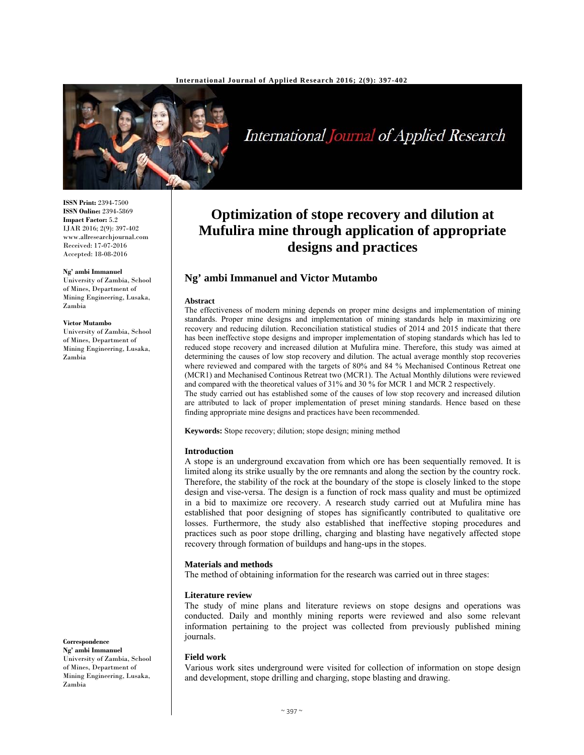

# International Journal of Applied Research

**ISSN Print:** 2394-7500 **ISSN Online:** 2394-5869 **Impact Factor:** 5.2 IJAR 2016; 2(9): 397-402 www.allresearchjournal.com Received: 17-07-2016 Accepted: 18-08-2016

#### **Ng' ambi Immanuel**

University of Zambia, School of Mines, Department of Mining Engineering, Lusaka, Zambia

#### **Victor Mutambo**

University of Zambia, School of Mines, Department of Mining Engineering, Lusaka, Zambia

## **Optimization of stope recovery and dilution at Mufulira mine through application of appropriate designs and practices**

## **Ng' ambi Immanuel and Victor Mutambo**

#### **Abstract**

The effectiveness of modern mining depends on proper mine designs and implementation of mining standards. Proper mine designs and implementation of mining standards help in maximizing ore recovery and reducing dilution. Reconciliation statistical studies of 2014 and 2015 indicate that there has been ineffective stope designs and improper implementation of stoping standards which has led to reduced stope recovery and increased dilution at Mufulira mine. Therefore, this study was aimed at determining the causes of low stop recovery and dilution. The actual average monthly stop recoveries where reviewed and compared with the targets of 80% and 84 % Mechanised Continous Retreat one (MCR1) and Mechanised Continous Retreat two (MCR1). The Actual Monthly dilutions were reviewed and compared with the theoretical values of 31% and 30 % for MCR 1 and MCR 2 respectively. The study carried out has established some of the causes of low stop recovery and increased dilution are attributed to lack of proper implementation of preset mining standards. Hence based on these

**Keywords:** Stope recovery; dilution; stope design; mining method

finding appropriate mine designs and practices have been recommended.

#### **Introduction**

A stope is an underground excavation from which ore has been sequentially removed. It is limited along its strike usually by the ore remnants and along the section by the country rock. Therefore, the stability of the rock at the boundary of the stope is closely linked to the stope design and vise-versa. The design is a function of rock mass quality and must be optimized in a bid to maximize ore recovery. A research study carried out at Mufulira mine has established that poor designing of stopes has significantly contributed to qualitative ore losses. Furthermore, the study also established that ineffective stoping procedures and practices such as poor stope drilling, charging and blasting have negatively affected stope recovery through formation of buildups and hang-ups in the stopes.

#### **Materials and methods**

The method of obtaining information for the research was carried out in three stages:

#### **Literature review**

The study of mine plans and literature reviews on stope designs and operations was conducted. Daily and monthly mining reports were reviewed and also some relevant information pertaining to the project was collected from previously published mining journals.

#### **Field work**

Various work sites underground were visited for collection of information on stope design and development, stope drilling and charging, stope blasting and drawing.

**Correspondence Ng' ambi Immanuel** 

University of Zambia, School of Mines, Department of Mining Engineering, Lusaka, Zambia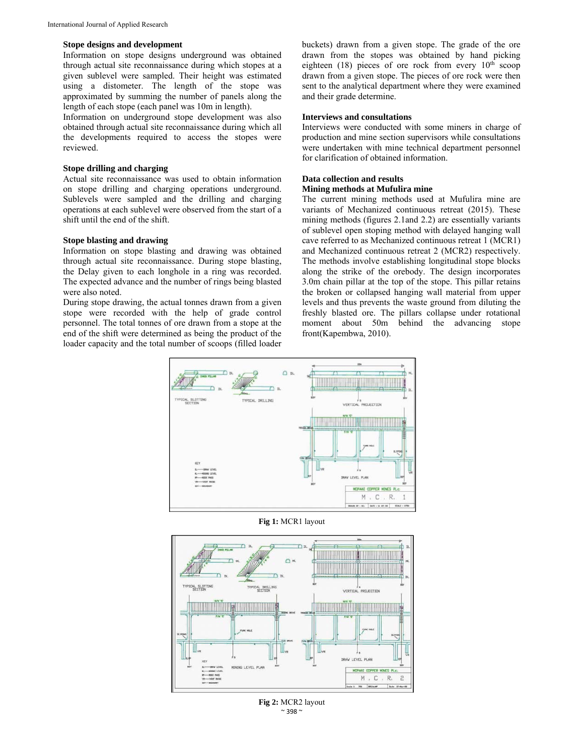#### **Stope designs and development**

Information on stope designs underground was obtained through actual site reconnaissance during which stopes at a given sublevel were sampled. Their height was estimated using a distometer. The length of the stope was approximated by summing the number of panels along the length of each stope (each panel was 10m in length).

Information on underground stope development was also obtained through actual site reconnaissance during which all the developments required to access the stopes were reviewed.

#### **Stope drilling and charging**

Actual site reconnaissance was used to obtain information on stope drilling and charging operations underground. Sublevels were sampled and the drilling and charging operations at each sublevel were observed from the start of a shift until the end of the shift.

#### **Stope blasting and drawing**

Information on stope blasting and drawing was obtained through actual site reconnaissance. During stope blasting, the Delay given to each longhole in a ring was recorded. The expected advance and the number of rings being blasted were also noted.

During stope drawing, the actual tonnes drawn from a given stope were recorded with the help of grade control personnel. The total tonnes of ore drawn from a stope at the end of the shift were determined as being the product of the loader capacity and the total number of scoops (filled loader buckets) drawn from a given stope. The grade of the ore drawn from the stopes was obtained by hand picking eighteen (18) pieces of ore rock from every  $10^{th}$  scoop drawn from a given stope. The pieces of ore rock were then sent to the analytical department where they were examined and their grade determine.

#### **Interviews and consultations**

Interviews were conducted with some miners in charge of production and mine section supervisors while consultations were undertaken with mine technical department personnel for clarification of obtained information.

#### **Data collection and results**

#### **Mining methods at Mufulira mine**

The current mining methods used at Mufulira mine are variants of Mechanized continuous retreat (2015). These mining methods (figures 2.1and 2.2) are essentially variants of sublevel open stoping method with delayed hanging wall cave referred to as Mechanized continuous retreat 1 (MCR1) and Mechanized continuous retreat 2 (MCR2) respectively. The methods involve establishing longitudinal stope blocks along the strike of the orebody. The design incorporates 3.0m chain pillar at the top of the stope. This pillar retains the broken or collapsed hanging wall material from upper levels and thus prevents the waste ground from diluting the freshly blasted ore. The pillars collapse under rotational moment about 50m behind the advancing stope front(Kapembwa, 2010).



**Fig 1:** MCR1 layout



 $\sim$  398  $\sim$ **Fig 2:** MCR2 layout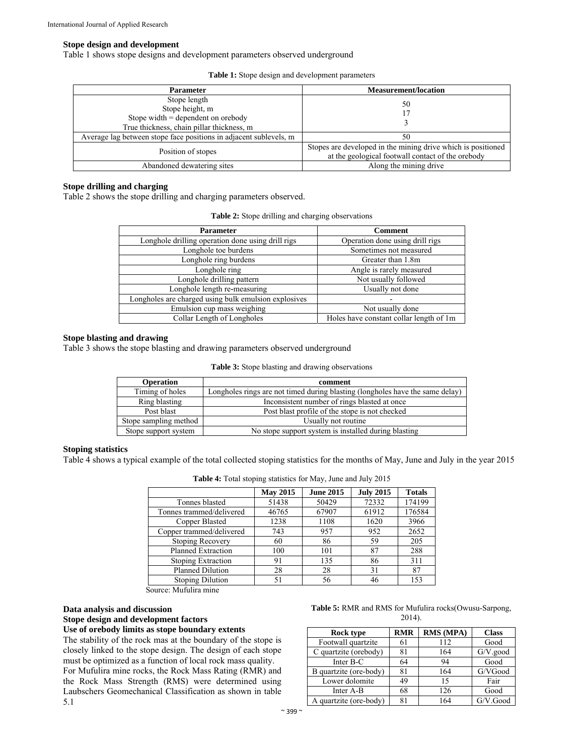#### **Stope design and development**

Table 1 shows stope designs and development parameters observed underground

| <b>Parameter</b>                                                                                                     | <b>Measurement/location</b>                                                                                       |  |  |
|----------------------------------------------------------------------------------------------------------------------|-------------------------------------------------------------------------------------------------------------------|--|--|
| Stope length<br>Stope height, m<br>Stope width $=$ dependent on orebody<br>True thickness, chain pillar thickness, m | 50                                                                                                                |  |  |
| Average lag between stope face positions in adjacent sublevels, m                                                    | 50                                                                                                                |  |  |
| Position of stopes                                                                                                   | Stopes are developed in the mining drive which is positioned<br>at the geological footwall contact of the orebody |  |  |
| Abandoned dewatering sites                                                                                           | Along the mining drive                                                                                            |  |  |

## **Stope drilling and charging**

Table 2 shows the stope drilling and charging parameters observed.

**Table 2:** Stope drilling and charging observations

| <b>Parameter</b>                                     | <b>Comment</b>                          |  |  |
|------------------------------------------------------|-----------------------------------------|--|--|
| Longhole drilling operation done using drill rigs    | Operation done using drill rigs         |  |  |
| Longhole toe burdens                                 | Sometimes not measured                  |  |  |
| Longhole ring burdens                                | Greater than 1.8m                       |  |  |
| Longhole ring                                        | Angle is rarely measured                |  |  |
| Longhole drilling pattern                            | Not usually followed                    |  |  |
| Longhole length re-measuring                         | Usually not done                        |  |  |
| Longholes are charged using bulk emulsion explosives |                                         |  |  |
| Emulsion cup mass weighing                           | Not usually done                        |  |  |
| Collar Length of Longholes                           | Holes have constant collar length of 1m |  |  |

#### **Stope blasting and drawing**

Table 3 shows the stope blasting and drawing parameters observed underground

**Table 3:** Stope blasting and drawing observations

| <b>Operation</b>      | comment                                                                       |
|-----------------------|-------------------------------------------------------------------------------|
| Timing of holes       | Longholes rings are not timed during blasting (longholes have the same delay) |
| Ring blasting         | Inconsistent number of rings blasted at once                                  |
| Post blast            | Post blast profile of the stope is not checked                                |
| Stope sampling method | Usually not routine                                                           |
| Stope support system  | No stope support system is installed during blasting                          |

#### **Stoping statistics**

Table 4 shows a typical example of the total collected stoping statistics for the months of May, June and July in the year 2015

|                           | <b>May 2015</b> | <b>June 2015</b> | <b>July 2015</b> | <b>Totals</b> |
|---------------------------|-----------------|------------------|------------------|---------------|
| Tonnes blasted            | 51438           | 50429            | 72332            | 174199        |
| Tonnes trammed/delivered  | 46765           | 67907            | 61912            | 176584        |
| Copper Blasted            | 1238            | 1108             | 1620             | 3966          |
| Copper trammed/delivered  | 743             | 957              | 952              | 2652          |
| Stoping Recovery          | 60              | 86               | 59               | 205           |
| <b>Planned Extraction</b> | 100             | 101              | 87               | 288           |
| Stoping Extraction        | 91              | 135              | 86               | 311           |
| Planned Dilution          | 28              | 28               | 31               | 87            |
| <b>Stoping Dilution</b>   | 51              | 56               | 46               | 153           |

**Table 4:** Total stoping statistics for May, June and July 2015

Source: Mufulira mine

#### **Data analysis and discussion Stope design and development factors Use of orebody limits as stope boundary extents**

The stability of the rock mas at the boundary of the stope is closely linked to the stope design. The design of each stope

must be optimized as a function of local rock mass quality. For Mufulira mine rocks, the Rock Mass Rating (RMR) and the Rock Mass Strength (RMS) were determined using Laubschers Geomechanical Classification as shown in table 5.1

|  |  |           |  | Table 5: RMR and RMS for Mufulira rocks(Owusu-Sarpong, |  |
|--|--|-----------|--|--------------------------------------------------------|--|
|  |  | $2014$ ). |  |                                                        |  |

| Rock type              | <b>RMR</b> | <b>RMS (MPA)</b> | <b>Class</b> |
|------------------------|------------|------------------|--------------|
| Footwall quartzite     | 61         | 112              | Good         |
| C quartzite (orebody)  | 81         | 164              | $G/V$ .good  |
| Inter B-C              | 64         | 94               | Good         |
| B quartzite (ore-body) | 81         | 164              | G/VGood      |
| Lower dolomite         | 49         | 15               | Fair         |
| Inter A-B              | 68         | 126              | Good         |
| A quartzite (ore-body) | 81         | 164              | G/V.Good     |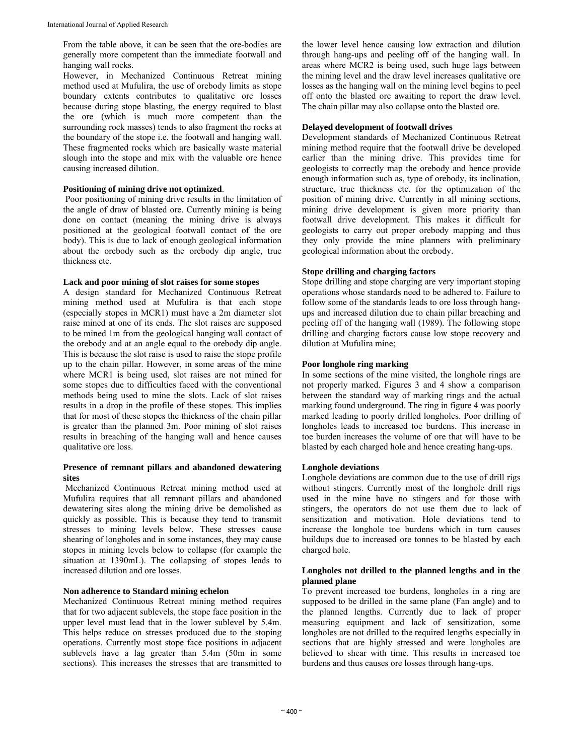From the table above, it can be seen that the ore-bodies are generally more competent than the immediate footwall and hanging wall rocks.

However, in Mechanized Continuous Retreat mining method used at Mufulira, the use of orebody limits as stope boundary extents contributes to qualitative ore losses because during stope blasting, the energy required to blast the ore (which is much more competent than the surrounding rock masses) tends to also fragment the rocks at the boundary of the stope i.e. the footwall and hanging wall. These fragmented rocks which are basically waste material slough into the stope and mix with the valuable ore hence causing increased dilution.

#### **Positioning of mining drive not optimized**.

 Poor positioning of mining drive results in the limitation of the angle of draw of blasted ore. Currently mining is being done on contact (meaning the mining drive is always positioned at the geological footwall contact of the ore body). This is due to lack of enough geological information about the orebody such as the orebody dip angle, true thickness etc.

#### **Lack and poor mining of slot raises for some stopes**

A design standard for Mechanized Continuous Retreat mining method used at Mufulira is that each stope (especially stopes in MCR1) must have a 2m diameter slot raise mined at one of its ends. The slot raises are supposed to be mined 1m from the geological hanging wall contact of the orebody and at an angle equal to the orebody dip angle. This is because the slot raise is used to raise the stope profile up to the chain pillar. However, in some areas of the mine where MCR1 is being used, slot raises are not mined for some stopes due to difficulties faced with the conventional methods being used to mine the slots. Lack of slot raises results in a drop in the profile of these stopes. This implies that for most of these stopes the thickness of the chain pillar is greater than the planned 3m. Poor mining of slot raises results in breaching of the hanging wall and hence causes qualitative ore loss.

#### **Presence of remnant pillars and abandoned dewatering sites**

 Mechanized Continuous Retreat mining method used at Mufulira requires that all remnant pillars and abandoned dewatering sites along the mining drive be demolished as quickly as possible. This is because they tend to transmit stresses to mining levels below. These stresses cause shearing of longholes and in some instances, they may cause stopes in mining levels below to collapse (for example the situation at 1390mL). The collapsing of stopes leads to increased dilution and ore losses.

#### **Non adherence to Standard mining echelon**

Mechanized Continuous Retreat mining method requires that for two adjacent sublevels, the stope face position in the upper level must lead that in the lower sublevel by 5.4m. This helps reduce on stresses produced due to the stoping operations. Currently most stope face positions in adjacent sublevels have a lag greater than 5.4m (50m in some sections). This increases the stresses that are transmitted to the lower level hence causing low extraction and dilution through hang-ups and peeling off of the hanging wall. In areas where MCR2 is being used, such huge lags between the mining level and the draw level increases qualitative ore losses as the hanging wall on the mining level begins to peel off onto the blasted ore awaiting to report the draw level. The chain pillar may also collapse onto the blasted ore.

## **Delayed development of footwall drives**

Development standards of Mechanized Continuous Retreat mining method require that the footwall drive be developed earlier than the mining drive. This provides time for geologists to correctly map the orebody and hence provide enough information such as, type of orebody, its inclination, structure, true thickness etc. for the optimization of the position of mining drive. Currently in all mining sections, mining drive development is given more priority than footwall drive development. This makes it difficult for geologists to carry out proper orebody mapping and thus they only provide the mine planners with preliminary geological information about the orebody.

#### **Stope drilling and charging factors**

Stope drilling and stope charging are very important stoping operations whose standards need to be adhered to. Failure to follow some of the standards leads to ore loss through hangups and increased dilution due to chain pillar breaching and peeling off of the hanging wall (1989). The following stope drilling and charging factors cause low stope recovery and dilution at Mufulira mine;

#### **Poor longhole ring marking**

In some sections of the mine visited, the longhole rings are not properly marked. Figures 3 and 4 show a comparison between the standard way of marking rings and the actual marking found underground. The ring in figure 4 was poorly marked leading to poorly drilled longholes. Poor drilling of longholes leads to increased toe burdens. This increase in toe burden increases the volume of ore that will have to be blasted by each charged hole and hence creating hang-ups.

#### **Longhole deviations**

Longhole deviations are common due to the use of drill rigs without stingers. Currently most of the longhole drill rigs used in the mine have no stingers and for those with stingers, the operators do not use them due to lack of sensitization and motivation. Hole deviations tend to increase the longhole toe burdens which in turn causes buildups due to increased ore tonnes to be blasted by each charged hole.

#### **Longholes not drilled to the planned lengths and in the planned plane**

To prevent increased toe burdens, longholes in a ring are supposed to be drilled in the same plane (Fan angle) and to the planned lengths. Currently due to lack of proper measuring equipment and lack of sensitization, some longholes are not drilled to the required lengths especially in sections that are highly stressed and were longholes are believed to shear with time. This results in increased toe burdens and thus causes ore losses through hang-ups.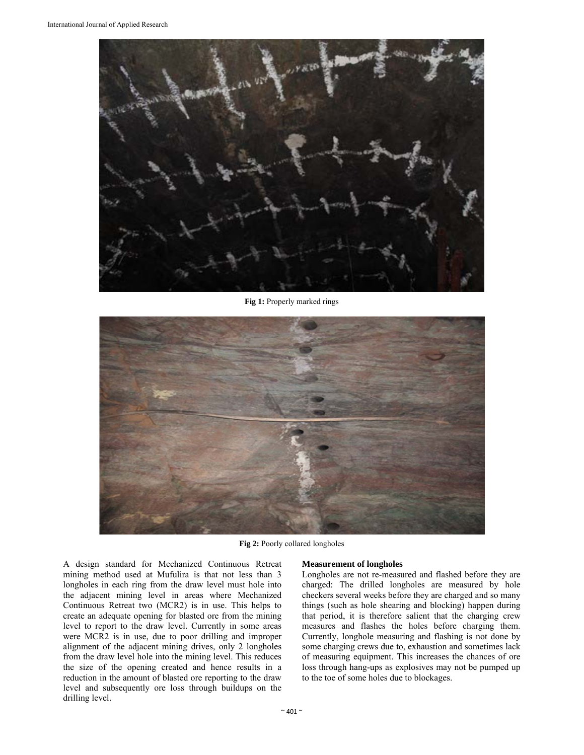

**Fig 1:** Properly marked rings



**Fig 2:** Poorly collared longholes

A design standard for Mechanized Continuous Retreat mining method used at Mufulira is that not less than 3 longholes in each ring from the draw level must hole into the adjacent mining level in areas where Mechanized Continuous Retreat two (MCR2) is in use. This helps to create an adequate opening for blasted ore from the mining level to report to the draw level. Currently in some areas were MCR2 is in use, due to poor drilling and improper alignment of the adjacent mining drives, only 2 longholes from the draw level hole into the mining level. This reduces the size of the opening created and hence results in a reduction in the amount of blasted ore reporting to the draw level and subsequently ore loss through buildups on the drilling level.

#### **Measurement of longholes**

Longholes are not re-measured and flashed before they are charged: The drilled longholes are measured by hole checkers several weeks before they are charged and so many things (such as hole shearing and blocking) happen during that period, it is therefore salient that the charging crew measures and flashes the holes before charging them. Currently, longhole measuring and flashing is not done by some charging crews due to, exhaustion and sometimes lack of measuring equipment. This increases the chances of ore loss through hang-ups as explosives may not be pumped up to the toe of some holes due to blockages.